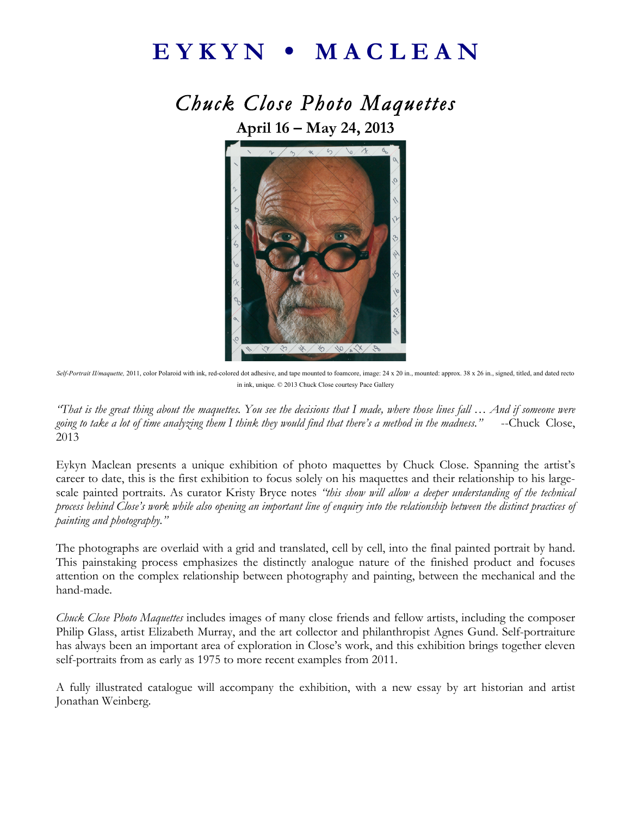## E Y K Y N **•** M A C L E A N

*Chuck Close Photo Maquettes*  **April 16 – May 24, 2013**



Self-Portrait II/maquette, 2011, color Polaroid with ink, red-colored dot adhesive, and tape mounted to foamcore, image: 24 x 20 in., mounted: approx. 38 x 26 in., signed, titled, and dated recto in ink, unique. © 2013 Chuck Close courtesy Pace Gallery

*"That is the great thing about the maquettes. You see the decisions that I made, where those lines fall … And if someone were going to take a lot of time analyzing them I think they would find that there's a method in the madness."* --Chuck Close, 2013

Eykyn Maclean presents a unique exhibition of photo maquettes by Chuck Close. Spanning the artist's career to date, this is the first exhibition to focus solely on his maquettes and their relationship to his largescale painted portraits. As curator Kristy Bryce notes *"this show will allow a deeper understanding of the technical process behind Close's work while also opening an important line of enquiry into the relationship between the distinct practices of painting and photography."*

The photographs are overlaid with a grid and translated, cell by cell, into the final painted portrait by hand. This painstaking process emphasizes the distinctly analogue nature of the finished product and focuses attention on the complex relationship between photography and painting, between the mechanical and the hand-made.

*Chuck Close Photo Maquettes* includes images of many close friends and fellow artists, including the composer Philip Glass, artist Elizabeth Murray, and the art collector and philanthropist Agnes Gund. Self-portraiture has always been an important area of exploration in Close's work, and this exhibition brings together eleven self-portraits from as early as 1975 to more recent examples from 2011.

A fully illustrated catalogue will accompany the exhibition, with a new essay by art historian and artist Jonathan Weinberg.